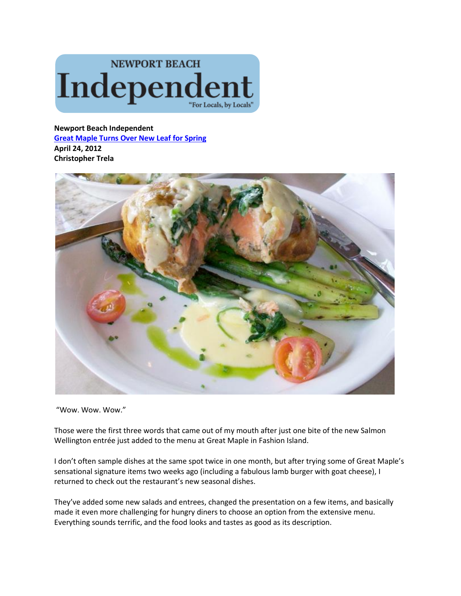

**Newport Beach Independent [Great Maple Turns Over New Leaf for Spring](http://www.newportbeachindy.com/2012/04/24/great-maple-turns-leaf-spring/) April 24, 2012 Christopher Trela**



"Wow. Wow. Wow."

Those were the first three words that came out of my mouth after just one bite of the new Salmon Wellington entrée just added to the menu at Great Maple in Fashion Island.

I don't often sample dishes at the same spot twice in one month, but after trying some of Great Maple's sensational signature items two weeks ago (including a fabulous lamb burger with goat cheese), I returned to check out the restaurant's new seasonal dishes.

They've added some new salads and entrees, changed the presentation on a few items, and basically made it even more challenging for hungry diners to choose an option from the extensive menu. Everything sounds terrific, and the food looks and tastes as good as its description.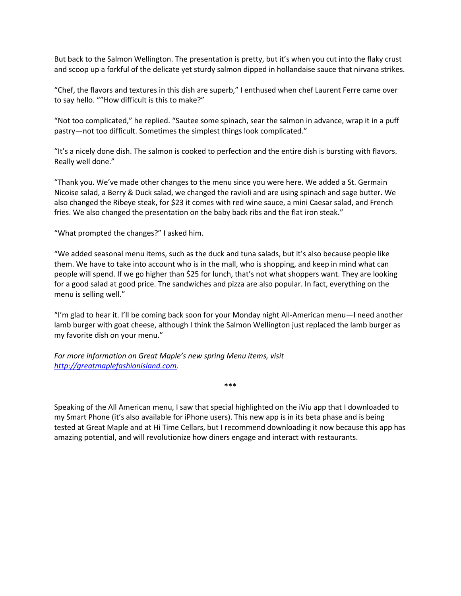But back to the Salmon Wellington. The presentation is pretty, but it's when you cut into the flaky crust and scoop up a forkful of the delicate yet sturdy salmon dipped in hollandaise sauce that nirvana strikes.

"Chef, the flavors and textures in this dish are superb," I enthused when chef Laurent Ferre came over to say hello. ""How difficult is this to make?"

"Not too complicated," he replied. "Sautee some spinach, sear the salmon in advance, wrap it in a puff pastry—not too difficult. Sometimes the simplest things look complicated."

"It's a nicely done dish. The salmon is cooked to perfection and the entire dish is bursting with flavors. Really well done."

"Thank you. We've made other changes to the menu since you were here. We added a St. Germain Nicoise salad, a Berry & Duck salad, we changed the ravioli and are using spinach and sage butter. We also changed the Ribeye steak, for \$23 it comes with red wine sauce, a mini Caesar salad, and French fries. We also changed the presentation on the baby back ribs and the flat iron steak."

"What prompted the changes?" I asked him.

"We added seasonal menu items, such as the duck and tuna salads, but it's also because people like them. We have to take into account who is in the mall, who is shopping, and keep in mind what can people will spend. If we go higher than \$25 for lunch, that's not what shoppers want. They are looking for a good salad at good price. The sandwiches and pizza are also popular. In fact, everything on the menu is selling well."

"I'm glad to hear it. I'll be coming back soon for your Monday night All-American menu—I need another lamb burger with goat cheese, although I think the Salmon Wellington just replaced the lamb burger as my favorite dish on your menu."

*For more information on Great Maple's new spring Menu items, visit [http://greatmaplefashionisland.com.](http://greatmaplefashionisland.com/)* 

Speaking of the All American menu, I saw that special highlighted on the iViu app that I downloaded to my Smart Phone (it's also available for iPhone users). This new app is in its beta phase and is being tested at Great Maple and at Hi Time Cellars, but I recommend downloading it now because this app has amazing potential, and will revolutionize how diners engage and interact with restaurants.

**\*\*\***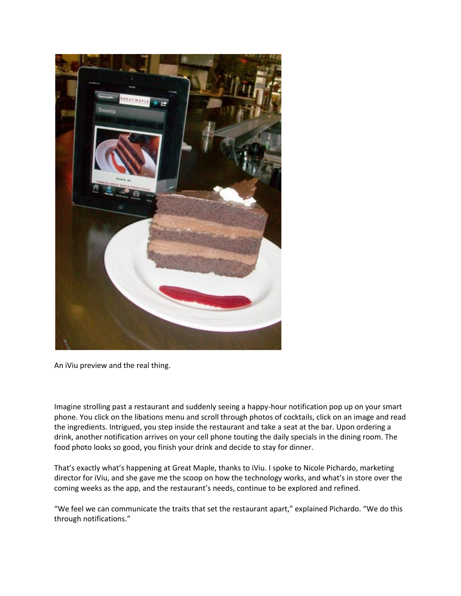

An iViu preview and the real thing.

Imagine strolling past a restaurant and suddenly seeing a happy-hour notification pop up on your smart phone. You click on the libations menu and scroll through photos of cocktails, click on an image and read the ingredients. Intrigued, you step inside the restaurant and take a seat at the bar. Upon ordering a drink, another notification arrives on your cell phone touting the daily specials in the dining room. The food photo looks so good, you finish your drink and decide to stay for dinner.

That's exactly what's happening at Great Maple, thanks to iViu. I spoke to Nicole Pichardo, marketing director for iViu, and she gave me the scoop on how the technology works, and what's in store over the coming weeks as the app, and the restaurant's needs, continue to be explored and refined.

"We feel we can communicate the traits that set the restaurant apart," explained Pichardo. "We do this through notifications."